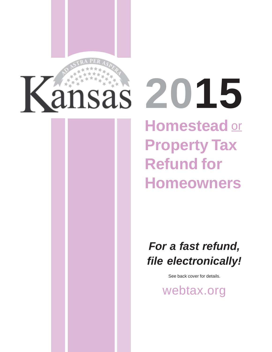

**Homestead**  or **2015 Property Tax Refund for Homeowners** 

> *For a fast refund, file electronically!*

> > See back cover for details.

[webtax.org](http://www.ksrevenue.org/eservices.html)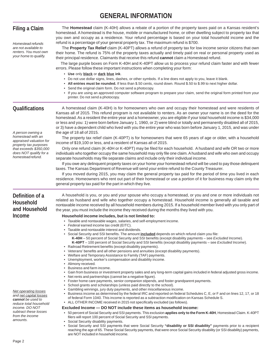# **GENERAL INFORMATION**

| <b>Filing a Claim</b>                                                                                | The Homestead claim (K-40H) allows a rebate of a portion of the property taxes paid on a Kansas resident's<br>homestead. A homestead is the house, mobile or manufactured home, or other dwelling subject to property tax that<br>you own and occupy as a residence. Your refund percentage is based on your total household income and the                                                                                                                                                                                                                                                                                                                                |
|------------------------------------------------------------------------------------------------------|----------------------------------------------------------------------------------------------------------------------------------------------------------------------------------------------------------------------------------------------------------------------------------------------------------------------------------------------------------------------------------------------------------------------------------------------------------------------------------------------------------------------------------------------------------------------------------------------------------------------------------------------------------------------------|
| Homestead refunds<br>are not available to<br>renters. You must own<br>your home to qualify.          | refund is a percentage of your general property tax. The maximum refund is \$700.<br>The Property Tax Relief claim (K-40PT) allows a refund of property tax for low income senior citizens that own<br>their home. The refund is 75% of the property taxes actually and timely paid on real or personal property used as<br>their principal residence. Claimants that receive this refund cannot claim a Homestead refund.<br>The large purple boxes on Form K-40H and K-40PT allow us to process your refund claim faster and with fewer<br>errors. Please follow these important instructions when completing your form:                                                 |
|                                                                                                      | • Use only black or dark blue ink.<br>• Do not use dollar signs, lines, dashes, or other symbols. If a line does not apply to you, leave it blank.<br>• All entries must be rounded. If less than \$.50 cents, round down. Round \$.50 to \$.99 to next higher dollar.<br>Send the original claim form. Do not send a photocopy.<br>• If you are using an approved computer software program to prepare your claim, send the original form printed from your<br>printer. Do not send a photocopy.                                                                                                                                                                          |
| <b>Qualifications</b><br>A person owning a                                                           | A homestead claim (K-40H) is for homeowners who own and occupy their homestead and were residents of<br>Kansas all of 2015. This refund program is not available to renters. As an owner your name is on the deed for the<br>homestead. As a resident the entire year and a homeowner, you are eligible if your total household income is \$34,000<br>or less and you: 1) were born before January 1, 1960, or 2) were blind or totally and permanently disabled all of 2015,<br>or 3) have a dependent child who lived with you the entire year who was born before January 1, 2015, and was under<br>the age of 18 all of 2015.                                          |
| homestead with an<br>appraised valuation for                                                         | The property tax relief claim (K-40PT) is for homeowners that were 65 years of age or older, with a household                                                                                                                                                                                                                                                                                                                                                                                                                                                                                                                                                              |
| property tax purposes<br>that exceeds \$350,000<br>does NOT qualify for a<br>homestead refund.       | income of \$19,100 or less, and a resident of Kansas all of 2015.<br>Only one refund claim (K-40H or K-40PT) may be filed for each household. A husband and wife OR two or more<br>individuals who together occupy the same household may only file one claim. A husband and wife who own and occupy<br>separate households may file separate claims and include only their individual income.                                                                                                                                                                                                                                                                             |
|                                                                                                      | If you owe any delinquent property taxes on your home your homestead refund will be used to pay those delinquent<br>taxes. The Kansas Department of Revenue will send your entire refund to the County Treasurer.<br>If you moved during 2015, you may claim the general property tax paid for the period of time you lived in each<br>residence. Homeowners who rent out part of their homestead or use a portion of it for business may claim only the<br>general property tax paid for the part in which they live.                                                                                                                                                     |
| Definition of a<br>Household<br>and Household                                                        | A household is you, or you and your spouse who occupy a homestead, or you and one or more individuals not<br>related as husband and wife who together occupy a homestead. Household income is generally all taxable and<br>nontaxable income received by all household members during 2015. If a household member lived with you only part of<br>the year, you must include the income they received during the months they lived with you.                                                                                                                                                                                                                                |
| <b>Income</b>                                                                                        | Household income includes, but is not limited to:                                                                                                                                                                                                                                                                                                                                                                                                                                                                                                                                                                                                                          |
|                                                                                                      | Taxable and nontaxable wages, salaries, and self-employment income.<br>• Federal earned income tax credit (EITC).                                                                                                                                                                                                                                                                                                                                                                                                                                                                                                                                                          |
|                                                                                                      | Taxable and nontaxable interest and dividends.<br>. Social Security and SSI benefits. The amount included depends on which refund claim you file:<br>K-40H - 50 percent of Social Security and SSI benefits (except disability payments - see Excluded Income).<br>K-40PT - 100 percent of Social Security and SSI benefits (except disability payments - see Excluded Income).<br>• Railroad Retirement benefits (except disability payments).<br>• Veterans' benefits and all other pensions and annuities (except disability payments).<br>• Welfare and Temporary Assistance to Family (TAF) payments.<br>• Unemployment, worker's compensation and disability income. |
|                                                                                                      | • Alimony received.<br>• Business and farm income.<br>· Gain from business or investment property sales and any long-term capital gains included in federal adjusted gross income.<br>• Net rents and partnerships (cannot be a negative figure).                                                                                                                                                                                                                                                                                                                                                                                                                          |
| <b>Net operating losses</b><br>and net capital losses<br>cannot be used to<br>reduce total household | • Foster home care payments, senior companion stipends, and foster grandparent payments.<br>School grants and scholarships (unless paid directly to the school).<br>• Gambling winnings, jury duty payments, and other miscellaneous income.<br>• Business income as determined by the federal IRC and reported on federal Schedules C, E, or F and on lines 12, 17, or 18<br>of federal Form 1040. This income is reported as a subtraction modification on Kansas Schedule S.<br>• ALL OTHER INCOME received in 2015 not specifically excluded (as follows).                                                                                                             |
| income. DO NOT<br>subtract these losses                                                              | Excluded Income - DO NOT include these items as household income:<br>• 50 percent of Social Security and SSI payments. This exclusion applies only to the Form K-40H, Homestead Claim. K-40PT                                                                                                                                                                                                                                                                                                                                                                                                                                                                              |
| from the income<br>amounts.                                                                          | filers will report 100 percent of Social Security and SSI payments.<br>• Social Security disability payments.<br>• Social Security and SSI payments that were Social Security "disability or SSI disability" payments prior to a recipient<br>reaching the age of 65. These Social Security payments, that were once Social Security disability (or SSI disability) payments,<br>are NOT included in household income.                                                                                                                                                                                                                                                     |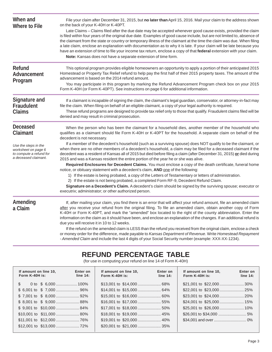| When and<br><b>Where to File</b>                                                               | File your claim after December 31, 2015, but no later than April 15, 2016. Mail your claim to the address shown<br>on the back of your K-40H or K-40PT.<br>Late Claims - Claims filed after the due date may be accepted whenever good cause exists, provided the claim<br>is filed within four years of the original due date. Examples of good cause include, but are not limited to, absence of<br>the claimant from the state or country or temporary illness of the claimant at the time the claim was due. When filing<br>a late claim, enclose an explanation with documentation as to why it is late. If your claim will be late because you<br>have an extension of time to file your income tax return, enclose a copy of that federal extension with your claim.<br>Note: Kansas does not have a separate extension of time form. |
|------------------------------------------------------------------------------------------------|----------------------------------------------------------------------------------------------------------------------------------------------------------------------------------------------------------------------------------------------------------------------------------------------------------------------------------------------------------------------------------------------------------------------------------------------------------------------------------------------------------------------------------------------------------------------------------------------------------------------------------------------------------------------------------------------------------------------------------------------------------------------------------------------------------------------------------------------|
| <b>Refund</b><br>Advancement<br>Program                                                        | This optional program provides eligible homeowners an opportunity to apply a portion of their anticipated 2015<br>Homestead or Property Tax Relief refund to help pay the first half of their 2015 property taxes. The amount of the<br>advancement is based on the 2014 refund amount.<br>You may participate in this program by marking the Refund Advancement Program check box on your 2015<br>Form K-40H (or Form K-40PT). See instructions on page 6 for additional information.                                                                                                                                                                                                                                                                                                                                                       |
| <b>Signature and</b><br><b>Fraudulent</b><br><b>Claims</b>                                     | If a claimant is incapable of signing the claim, the claimant's legal guardian, conservator, or attorney-in-fact may<br>file the claim. When filing on behalf of an eligible claimant, a copy of your legal authority is required.<br>These refund programs are designed to provide tax relief only to those that qualify. Fraudulent claims filed will be<br>denied and may result in criminal prosecution.                                                                                                                                                                                                                                                                                                                                                                                                                                 |
| <b>Deceased</b><br><b>Claimant</b>                                                             | When the person who has been the claimant for a household dies, another member of the household who<br>qualifies as a claimant should file Form K-40H or K-40PT for the household. A separate claim on behalf of the<br>decedent is not necessary.                                                                                                                                                                                                                                                                                                                                                                                                                                                                                                                                                                                           |
| Use the steps in the<br>worksheet on page 6<br>to compute a refund for<br>a deceased claimant. | If a member of the decedent's household (such as a surviving spouse) does NOT qualify to be the claimant, or<br>when there are no other members of a decedent's household, a claim may be filed for a deceased claimant if the<br>decedent was a resident of Kansas all of 2015 but died before filing a claim (after December 31, 2015) or died during<br>2015 and was a Kansas resident the entire portion of the year he or she was alive.                                                                                                                                                                                                                                                                                                                                                                                                |
|                                                                                                | Required Enclosures for Decedent Claims. You must enclose a copy of the death certificate, funeral home<br>notice, or obituary statement with a decedent's claim, AND one of the following:                                                                                                                                                                                                                                                                                                                                                                                                                                                                                                                                                                                                                                                  |
|                                                                                                | 1) If the estate is being probated, a copy of the Letters of Testamentary or letters of administration.<br>2) If the estate is not being probated, a completed Form RF-9, Decedent Refund Claim.                                                                                                                                                                                                                                                                                                                                                                                                                                                                                                                                                                                                                                             |
|                                                                                                | Signature on a Decedent's Claim. A decedent's claim should be signed by the surviving spouse; executor or<br>executrix; administrator; or other authorized person.                                                                                                                                                                                                                                                                                                                                                                                                                                                                                                                                                                                                                                                                           |
| Amending                                                                                       | If, after mailing your claim, you find there is an error that will affect your refund amount, file an amended claim                                                                                                                                                                                                                                                                                                                                                                                                                                                                                                                                                                                                                                                                                                                          |
| a Claim                                                                                        | after you receive your refund from the original filing. To file an amended claim, obtain another copy of Form<br>K-40H or Form K-40PT, and mark the "amended" box located to the right of the county abbreviation. Enter the<br>information on the claim as it should have been, and enclose an explanation of the changes. If an additional refund is<br>due you will receive it in 10 to 12 weeks.                                                                                                                                                                                                                                                                                                                                                                                                                                         |
|                                                                                                | If the refund on the amended claim is LESS than the refund you received from the original claim, enclose a check<br>or money order for the difference, made payable to Kansas Department of Revenue. Write Homestead Repayment<br>- Amended Claim and include the last 4 digits of your Social Security number (example: XXX-XX-1234).                                                                                                                                                                                                                                                                                                                                                                                                                                                                                                       |

## **REFUND PERCENTAGE TABLE**

(for use in computing your refund on line 14 of Form K-40H)

| If amount on line 10.<br>Form $K-40H$ is: | Enter on<br>line 14: | If amount on line 10.<br>Form $K-40H$ is: | Enter on<br>line $14$ : | If amount on line 10.<br>Form $K-40H$ is: | Enter on<br>line $14$ : |
|-------------------------------------------|----------------------|-------------------------------------------|-------------------------|-------------------------------------------|-------------------------|
|                                           |                      |                                           |                         |                                           |                         |
|                                           |                      |                                           |                         |                                           |                         |
|                                           |                      |                                           |                         |                                           |                         |
|                                           |                      |                                           |                         |                                           |                         |
| $$9,001$ to $$10,000$ 84%                 |                      |                                           |                         |                                           |                         |
|                                           |                      |                                           |                         |                                           |                         |
|                                           |                      |                                           |                         |                                           |                         |
|                                           |                      |                                           |                         |                                           |                         |
|                                           |                      |                                           |                         |                                           |                         |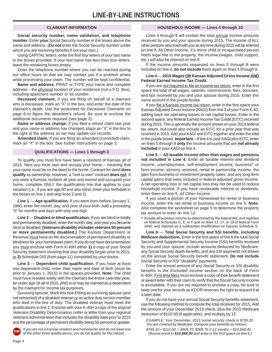**Social security number, name validation, and telephone number.** Enter **your** Social Security number in the boxes above the name and address. (**Do not** enter the Social Security number under which you are receiving benefits if not your own.)

Using CAPITAL letters, enter the first four letters of your last name in the boxes provided. If your last name has less than four letters, leave the remaining boxes empty.

Enter the telephone number where you can be reached during our office hours so that we may contact you if a problem arises while processing your claim. The number will be kept confidential.

**Name and address.** PRINT or TYPE your name and complete address – the physical location of your residence (not a P.O. Box), including apartment number or lot number.

**Deceased claimant.** If you are filing on behalf of a claimant who is deceased, mark an "X" in the box, and enter the date of the claimant's death. Use the worksheet for *Deceased Claimants* on page 6 to figure the decedent's refund. Be sure to enclose the additional documents required (see page 3).

**Name or address change.** If you filed a refund claim last year and your name or address has changed, place an "X" in the box to the right of the address so we may update our records.

**Amended claim.** If you are filing an amended (corrected) claim, mark an "X" in the box. See further instructions on page 3.

## **QUALIFICATIONS — Lines 1 through 3**

To qualify, you must first have been a resident of Kansas all of 2015. Next you must own and occupy your home – meaning that your name must be on the deed to the home. Contract for deed **does qualify** as ownership; however, a "rent to own" contract **does not**. If you were a Kansas resident all year and owned and occupied your home, complete ONLY the qualification line that applies to your situation (i.e., if you are age 60 and also blind, enter your birthdate in the boxes on line 1 and skip lines 2 and 3).

**Line 1** — **Age qualification.** If you were born before January 1, 1960, enter the month, day, and year of your birth. Add a preceding "0" for months and days with only one digit.

**Line 2** — **Disabled or blind qualification.** If you are blind or totally and permanently disabled, enter the month, day, and year you became blind or disabled. **(Veterans disability includes veterans 50 percent or more permanently disabled.)** The Kansas Department or Revenue must have on file documentation of permanent disability or blindness for your homestead claim. If you do not have documentation you must enclose with Form K-40H either **1)** a copy of your Social Security statement showing that your disability began prior to 2015, or **2)** Schedule DIS (from page 11) completed by your doctor.

**Line 3** — **Dependent child qualification.** If you have at least one dependent child, enter their name and date of birth (must be prior to January 1, 2015) in the spaces provided. **Note:** The child must have resided solely with the claimant the entire calendar year, be under age 18 all of 2015, AND is or may be claimed as a dependent by the claimant for income tax purposes.

Surviving spouse: Mark this box if filing as surviving spouse (and not remarried) of a disabled veteran or an active duty service member who died in the line of duty. The disabled veteran must meet the qualifications in line 2. Enclose with your K-40H a copy of the original Veterans Disability Determination Letter or letter from your regional Veterans Administration that includes the disability date prior to 2015 and the percentage of permanent disability being 50 percent or greater.



If you are not a Kansas resident and homeowner and do not meet one of the other three qualifications, you do not qualify for this refund.

## **CLAIMANT INFORMATION HOUSEHOLD INCOME — Lines 4 through 10**

Lines 4 through 8 will contain the total annual income amounts received by you and your spouse during 2015. The income of ALL other persons who lived with you at any time during 2015 will be entered on line 9, All Other Income. If a minor child or incapacitated person holds legal title to the property, the income (wages, child support, etc.) will also be entered on line 9.

If the income amounts requested on lines 5 through 8 were included on line 4, **do not include** them again on lines 5 through 8.

## **Line 4** — **2015 Wages OR Kansas Adjusted Gross Income AND Federal Earned Income Tax Credit.**

If you are not required to file an income tax return, enter in the first space the total of all wages, salaries, commissions, fees, bonuses, and tips received by you and your spouse during 2015. Enter this same amount in the purple boxes.

If you file a Kansas income tax return, enter in the first space your Kansas Adjusted Gross Income (KAGI) from line 3 of your Form K-40, adding back net operating losses or net capital losses. Enter in the second space, any federal Earned Income Tax Credit (EITC) received during 2015. This is generally the amount shown on your 2014 federal tax return, but could also include an EITC for a prior year that was received in 2015. Add your KAGI and EITC together and enter the total in the purple boxes. **Important**—If line 4 is your KAGI plus EITC, enter on lines 5 through 8 **only** the income amounts that are **not already included** in your KAGI on line 4.

**Line 5** — **All taxable income other than wages and pensions not included in Line 4.** Enter all taxable interest and dividend income, unemployment, self-employment income, business\* or farm income, alimony received, rental or partnership income, the gain from business or investment property sales, and any long term capital gains that were included in federal adjusted gross income. A net operating loss or net capital loss may not be used to reduce household income. If you have nontaxable interest or dividends, enter them on line 9, *All Other Income*.

If you used a portion of your homestead for rental or business income, enter the net rental or business income on line 5. **Note:**  Also complete the worksheet on page 5 to determine the property tax amount to enter on line 12.

\* Include all business income as determined by the federal IRC and reported on federal Schedules C, E, or F and on lines 12, 17, or 18 of federal Form 1040; and claimed as a subtraction modification on Kansas Schedule S.

**Line 6** — **Total Social Security and SSI benefits, including Medicare deductions.** Enter in the *first space* of line 6 the total Social Security and Supplemental Security Income (SSI) benefits received by you and your spouse. Include amounts deducted for Medicare, any Social Security death benefits, and any SSI payments not shown on the annual Social Security benefit statement. **Do not include**  Social Security or SSI "disability" payments.

Enter the annual amount of any Social Security or SSI disability benefits in the *Excluded Income* section on the back of Form K-40H. First time filers must enclose a copy of their benefit statement or award letter with their claim to verify that the Social Security income is excludable. If you are not required to enclose a copy, be sure to keep one for your records as KDOR reserves the right to request it at a later date.

If you do not have your annual Social Security benefits statement, use the following method to compute the total received for 2015. Add the amount of your December 2015 check, plus the 2015 Medicare deduction of \$110.50 (if applicable), and multiply by 12.

*EXAMPLE: Your December, 2015 social security check is \$795.20. You are covered by Medicare. Compute your benefits as follows: \$795.20 + \$110.50 = \$905.70. \$905.70 X 12 months = \$10,868.40 (Round result to \$10,868.00 and enter in the first space on line 6.)*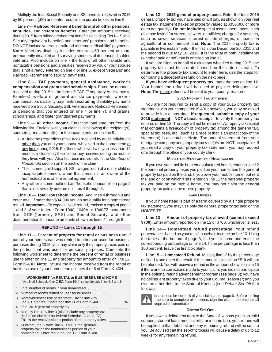Multiply the total Social Security and SSI benefits received in 2015 by 50 percent (.50) and enter result in the purple boxes on line 6.

**Line 7**— **Railroad Retirement benefits and all other pensions, annuities, and veterans benefits.** Enter the amounts received during 2015 from railroad retirement benefits (including Tier I— Social Security equivalent benefits) and veterans' pensions and benefits. DO NOT include veteran or railroad retirement "disability" payments. **Note:** Veterans disability includes veterans 50 percent or more permanently disabled and surviving spouses of deceased disabled veterans. Also include on line 7 the total of all other taxable and nontaxable pensions and annuities received by you or your spouse that is not already entered on line 4 or line 6, except Veterans' and Railroad Retirement "disability" payments.

**Line 8** — **TAF payments, general assistance, worker's compensation and grants and scholarships.** Enter the amounts received during 2015 in the form of: TAF (Temporary Assistance to Families); welfare or general assistance payments; worker's compensation; disability payments (**excluding** disability payments received from Social Security, SSI, Veterans and Railroad Retirement, or pensions that you entered on line 4 or line 7); and grants, scholarships, and foster grandparent payments.

**Line 9** — **All other income.** Enter the total amounts from the following list. Enclose with your claim a list showing the recipient(s), source(s), and amount(s) for the income entered on line 9.

- All income (regardless of source) received by adult individuals other than you and your spouse who lived in the homestead at any time during 2015. For those who lived with you less than 12 months, include only the income they received during the months they lived with you. Also list these individuals in the *Members of Household* section on the back of the claim.
- The income (child support, SSI, wages, etc.) of a minor child or incapacitated person, when that person is an owner of the homestead or is on the rental agreement.
- Any other income outlined as "household income" on page 2 that is not already entered on lines 4 through 8.

**Line 10** — **Total Household Income.** Add lines 4 through 9 and enter total. If more than \$34,000 you do not qualify for a homestead refund. **Important**––To expedite your refund, enclose a copy of pages 1 and 2 of your federal Form 1040, 1040A or 1040EZ; statements from DCF (formerly SRS) and Social Security; and other documentation for income amounts shown on lines 4 through 9.

## **REFUND — Lines 11 through 15**

**Line 11** — **Percent of property for rental or business use.** If part of your homestead was rented to others or used for business purposes during 2015, you may claim only the property taxes paid on the portion that was used for personal purposes. Complete the following worksheet to determine the percent of rental or business use to enter on line 11 and property tax amount to enter on line 12, Form K-40H. **Note:** Include the income received from the rental or business use of your homestead on lines 4 or 5 of Form K-40H.

| <b>WORKSHEET for RENTAL or BUSINESS USE of HOME</b><br>If you filed Schedule C or C-EZ, Form 1040, complete only lines 4, 5 and 6.                                            |      |
|-------------------------------------------------------------------------------------------------------------------------------------------------------------------------------|------|
| 1. Total number of rooms in your homestead                                                                                                                                    |      |
| 2. Number of rooms rented or used for business                                                                                                                                |      |
| 3. Rental/business use percentage. Divide line 2 by<br>line 1. Enter result here and line 11 of Form K-40H                                                                    | $\%$ |
|                                                                                                                                                                               |      |
| 5. Multiply line 4 by line 3 (also include any property tax<br>deduction claimed on federal Schedule C or C-EZ).<br>This is the rental/business portion of the property taxes |      |
| 6. Subtract line 5 from line 4. This is the general<br>property tax on the nonbusiness portion of your<br>homestead. Enter result on line 12, Form K-40H                      |      |

**Line 12** — **2015 general property taxes.** Enter the total 2015 general property tax you have paid or will pay, as shown on your real estate tax statement (taxes on property valued at \$350,000 or more does not qualify). **Do not include** special assessment taxes, such as those levied for streets, sewers, or utilities; charges for services, such as sewer services; interest or late charges; or taxes on agricultural or commercial land. **Note:** The 2015 property tax is payable in two installments – the first is due December 20, 2015 and the second is due May 10, 2016. It is the total of both installments (whether paid or not) that is entered on line 12.

If you are filing on behalf of a claimant who died during 2015, the property tax must be prorated based on the date of death. To determine the property tax amount to enter here, use the steps for computing a decedent's refund on the next page.

**If you have delinquent property tax**, mark the box on line 12. Your homestead refund will be used to pay the delinquent tax. Note: The entire refund will be sent to your county treasurer.

## **2015 PROPERTY TAX STATEMENT**

You are not required to send a copy of your 2015 property tax statement with your completed K-40H; however, you may be asked to provide it at a later date. **If requested, submit a copy of your 2015 statement** – **NOT a basic receipt** – to verify the property tax entered on line 12. The copy will not be returned. A property tax receipt that contains a *breakdown* of property tax among the general tax, special tax, fees, etc. (such as a receipt that is an exact copy of the statement) is acceptable. **Note:** The annual statement from your mortgage company and property tax *receipts* are NOT acceptable. If you need a copy of your property tax statement, you may request one through the office of your county clerk.

## **MOBILE AND MANUFACTURED HOMEOWNERS**

If you own your mobile home/manufactured home, enter on line 12 the personal property taxes you paid on your home, and the general property tax paid on the land. If you own your mobile home, but rent the land or lot on which it sits, enter on line 12 the personal property tax you paid on the mobile home. You may not claim the general property tax paid on the rented property.

## **FARM OWNERS**

If your homestead is part of a farm covered by a single property tax statement, you may use only the general property tax paid on the HOMESITE.

**Line 13** — **Amount of property tax allowed (cannot exceed**  \$700). Enter amount reported on line 12 or \$700, whichever is less.

**Line 14**— **Homestead refund percentage.** Your refund percentage is based on your total household income on line 10. Using the table at the bottom of page 3, find your income and enter the corresponding percentage on line 14. If the percentage is less than 100 percent, leave the first box blank.

**Line 15 — Homestead Refund.** Multiply line 13 by the percentage on line 14 and enter the result. If the amount is less than \$5, it will not be refunded. You will receive a refund in the amount shown on line 15 if there are no corrections made to your claim; you did not participate in the optional refund advancement program (see page 3); you have no delinquent property taxes due to your County Treasurer; and you owe no other debt to the State of Kansas (see *Debtor Set-Off* that follows).



Instructions for the back of your claim are on page 6. Before mailing it be sure to complete all sections, sign the claim, and enclose all required documentation.

## **DEBTOR SET-OFF**

If you owe a delinquent debt to the State of Kansas (such as child support, student loan, medical bills, or income tax), your refund will be applied to that debt first and any remaining refund will be sent to you. Be advised that the set-off process will cause a delay of up to 12 weeks for any remaining refund.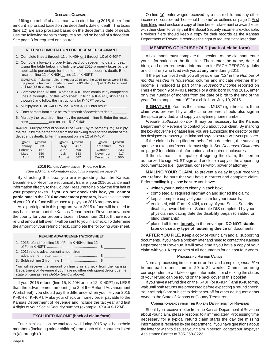## **DECEASED CLAIMANTS**

If filing on behalf of a claimant who died during 2015, the refund amount is prorated based on the decedent's date of death. The taxes (line 12) are also prorated based on the decedent's date of death. Use the following steps to compute a refund on behalf of a decedent. See page 3 for required enclosures.

## **REFUND COMPUTATION FOR DECEASED CLAIMANT**

- 1. Complete lines 1 through 11 of K-40H or 1 through 10 of K-40PT.
- 2. Compute allowable property tax paid by decedent to date of death. Using the table below, multiply the total 2015 property taxes by the applicable percentage for the month of the decedent's death. Enter result on line 12 of K-40H or line 11 of K-40PT.

EXAMPLE: If claimant died in August 2015 and the 2015 taxes were \$645, the property tax paid to date of death is 8/12ths (.667) of \$645 for a result of  $$430$  (\$645 X .667 = \$430).

- 3. Complete lines 13 and 14 of the K-40H; then continue by completing lines 4 through 6 of this worksheet. If filing a K-40PT, skip lines 4 though 6 and follow the instructions for K-40PT below.
- 4. Multiply line 13 of K-40H by line 14 of K-40H. Enter result
- 5. Enter percent from table below for month of decedent's death
- 6. Multiply the result from line 4 by the percent in line 5. Enter the result here \_\_\_\_\_\_\_\_\_\_ and on line 15 of K-40H.

**K-40PT:** Multiply amount on line 11 of K-40PT by 75 percent (.75). Multiply the result by the percentage from the following table for the month of the decedent's death. Enter this amount on line 12 of K-40PT.

| <b>MONTH</b> | PERCENT | <b>MONTH</b> | PERCENT | <b>MONTH</b> | PERCENT |
|--------------|---------|--------------|---------|--------------|---------|
| January      | .083    | May          | .417    | September    | .750    |
| February     | .167    | June         | .500    | October      | .833    |
| March        | .250    | July         | .583    | November     | .917    |
| April        | .333    | August       | .667    | December     | 1.000   |

### **2016 REFUND ADVANCEMENT PROGRAM BOX**

*(See additional information about this program on page 3)* 

By checking this box, you are requesting that the Kansas Department of Revenue electronically transfer your 2016 advancement information directly to the County Treasurer to help pay the first half of your property taxes. **If you do not check this box, you cannot participate in the 2016 advancement program**, in which case none of your 2016 refund will be used to pay your 2016 property taxes.

As a participant in this program, your 2015 refund will be used to pay back the amount the Kansas Department of Revenue advanced the county for your property taxes in December 2015. If there is a refund amount left over, it will be sent to you in a check. To determine the amount of your refund check, complete the following worksheet.

## **REFUND ADVANCEMENT WORKSHEET**

| 1. 2015 refund from line 15 of Form K-40H or line 12                                                                                    |  |
|-----------------------------------------------------------------------------------------------------------------------------------------|--|
| 2. 2015 refund advancement amount from                                                                                                  |  |
|                                                                                                                                         |  |
| You will receive the amount on line 3 in a check from the Kansas<br>Department of Revenue if you have no other delinquent debts due the |  |

state of Kansas (see *Debtor Set-Off* above).

If your 2015 refund (line 15, K-40H or line 12, K-40PT) is LESS than the advancement amount (line 2 of the Refund Advancement Worksheet), you should pay the difference when you file your 2015 K-40H or K-40PT. Make your check or money order payable to the Kansas Department of Revenue and include the tax year and last 4 digits of your Social Security number (example: XXX-XX-1234).

## **EXCLUDED INCOME (back of claim form)**

Enter in this section the total received during 2015 by all household members (including minor children) from each of the sources listed in (a) through (f).

On line (g), enter wages received by a minor child and any other income not considered "household income" as outlined on page 2. First time filers must enclose a copy of their benefit statement or award letter with their claim to verify that the Social Security income is excludable. Previous filers should keep a copy for their records as the Kansas Department of Revenue reserves the right to request it at a later date.

## **MEMBERS OF HOUSEHOLD (back of claim form)**

All claimants must complete this section. As the claimant, enter your information on the first line. Then enter the name, date of birth, and other requested information for EACH PERSON (adults and children) who lived with you **at any time** during 2015.

If the person lived with you all year, enter "12" in the *Number of months resided in household* column and indicate whether their income is included as part of the *Household Income* reported on lines 4 through 9 of K-40H. **Note:** For a child born during 2015, enter only the number of months from the date of birth to the end of the year. For example, enter "6" for a child born July 10, 2015.

**SIGNATURE.** You, as the claimant, MUST sign the claim. If the claim was prepared by another, the preparer should also sign in the space provided, and supply a daytime phone number.

*Preparer authorization box:* It may be necessary for the Kansas Department of Revenue to contact you about your claim. By marking the box above the signature line, you are authorizing the director or his/ her designee to discuss your claim and any enclosures with your preparer.

If the claim is being filed on behalf of a decedent, the surviving spouse or executor/executrix must sign it. See *Deceased Claimants*  on page 3 for additional information and required enclosures.

If the claimant is incapable of signing the claim, the person authorized to sign MUST sign and enclose a copy of the appointing documentation (i.e., guardian, conservator, power of attorney).

**MAILING YOUR CLAIM.** To prevent a delay in your receiving your refund, be sure that you have a correct and complete claim. Before mailing it, please be sure you have:

- $\checkmark$  written your numbers clearly in each box;
- $\checkmark$  completed all required information and signed the claim;
- $\checkmark$  kept a complete copy of your claim for your records;
- $\checkmark$  enclosed, with Form K-40H, a copy of your Social Security disability award letter or Schedule DIS completed by your physician indicating date the disability began (disabled or blind claimants);
- placed all forms **loosely** in the envelope. **DO NOT staple, tape or use any type of fastening device** on documents.

**AFTER YOU FILE.** Keep a copy of your claim and all supporting documents. If you have a problem later and need to contact the Kansas Department of Revenue, it will save time if you have a copy of your claim with you. Keep copies of all documents for at least four years.

### **PROCESSING REFUND CLAIMS**

Normal processing time for an error-free and complete *paper- filed*  homestead refund claim is 20 to 24 weeks. Claims requiring correspondence will take longer. Information for checking the status of your refund can be found on the back cover of this booklet.

If you have a refund due on the K-40H (or K-40PT) **and** K-40 forms, wait until both returns are processed before expecting a refund check. Your refund(s) are subject to debtor set-off for other delinquent debts owed to the State of Kansas or County Treasurer.

## **CORRESPONDENCE FROM THE KANSAS DEPARTMENT OF REVENUE**

Should you receive a letter from the Kansas Department of Revenue about your claim, please respond to it immediately. Processing time necessary for a typical refund claim starts the day the missing information is received by the department. If you have questions about the letter or wish to discuss your claim in person, contact our Taxpayer Assistance Center at 785-368-8222.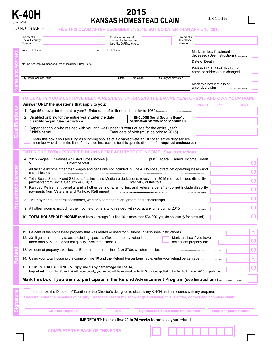

# **K-40H Example 2015**<br> **KANSAS HOMESTEAD CLAIM**

**Outeofie** 

**Signature**

## DO NOT STAPLE **FILE THIS CLAIM AFTER DECEMBER 31, 2015, BUT NO LATER THAN APRIL 15, 2016**

| Claimant's<br>Social Security<br>Number                                                                             |         |           | First four letters of<br>claimant's last name.<br>Use ALL CAPITAL letters. |                     | Claimant's<br>Telephone<br>Number |                                                             |  |
|---------------------------------------------------------------------------------------------------------------------|---------|-----------|----------------------------------------------------------------------------|---------------------|-----------------------------------|-------------------------------------------------------------|--|
| Your First Name                                                                                                     | Initial | Last Name |                                                                            |                     |                                   | Mark this box if claimant is<br>deceased (See instructions) |  |
| Mailing Address (Number and Street, including Rural Route)                                                          |         |           |                                                                            |                     |                                   | Date of Death<br><b>IMPORTANT:</b> Mark this box if         |  |
|                                                                                                                     |         |           |                                                                            |                     |                                   | name or address has changed                                 |  |
| City, Town, or Post Office                                                                                          |         |           | Zip Code<br>State                                                          | County Abbreviation |                                   |                                                             |  |
|                                                                                                                     |         |           |                                                                            |                     |                                   | Mark this box if this is an                                 |  |
| TO QUALIFY YOU MUST HAVE BEEN A <u>RESIDENT OF KANSAS</u> THE <u>ENTIRE YEAR</u> OF 2015 AND <u>OWN YOUR HOME</u> . |         |           |                                                                            |                     |                                   |                                                             |  |

| Answer ONLY the questions that apply to you:                                                                                                              | <b>MONTH</b> | <b>DAY</b> | <b>YEAR</b> |
|-----------------------------------------------------------------------------------------------------------------------------------------------------------|--------------|------------|-------------|
| 1. Age 55 or over for the entire year? Enter date of birth (must be prior to 1960)                                                                        |              |            |             |
| 2. Disabled or blind for the entire year? Enter the date<br><b>ENCLOSE Social Security Benefit</b><br><b>Verification Statement or Schedule DIS</b>       |              |            |             |
| 3. Dependent child who resided with you and was under 18 years of age for the entire year?<br>Enter date of birth (must be prior to 2015)<br>Child's name |              |            |             |
|                                                                                                                                                           |              |            |             |

Mark this box if you are filing as surviving spouse of a disabled veteran OR of an active duty service member who died in the line of duty (see instructions for this qualification and for **required enclosures**).

## **ENTER THE TOTAL RECEIVED IN 2015 FOR EACH TYPE OF INCOME. See instructions.**

|  | 4. 2015 Wages OR Kansas Adjusted Gross Income \$ _________________________ plus Federal Earned Income Credit<br>$\blacksquare$ . Enter the total $\ldots$<br>S |                 |
|--|----------------------------------------------------------------------------------------------------------------------------------------------------------------|-----------------|
|  | 5. All taxable income other than wages and pensions not included in Line 4. Do not subtract net operating losses and                                           | 0 <sup>0</sup>  |
|  | 6. Total Social Security and SSI benefits, including Medicare deductions, received in 2015 (do not include disability                                          | 00 <sup>1</sup> |
|  | 7. Railroad Retirement benefits and all other pensions, annuities, and veterans benefits (do not include disability                                            | 00 <sup>1</sup> |
|  |                                                                                                                                                                | 0 <sup>0</sup>  |
|  |                                                                                                                                                                | 00              |
|  | <b>TOTAL HOUSEHOLD INCOME</b> (Add lines 4 through 9. If line 10 is more than \$34,000, you do not qualify for a refund).                                      | በበ              |

| Mark this box if you wish to participate in the Refund Advancement Program (see instructions)                                                         |                 |
|-------------------------------------------------------------------------------------------------------------------------------------------------------|-----------------|
| Important: If you filed Form ELG with your county, your refund will be reduced by the ELG amount applied to the first half of your 2015 property tax. | 00 <sup>°</sup> |
| 14. Using your total household income on line 10 and the Refund Percentage Table, enter your refund percentage                                        | $\%$            |
|                                                                                                                                                       | 00 <sup>1</sup> |
| 12. 2015 general property taxes, excluding specials. (Tax on property valued at<br>Mark this box if you have<br>delinquent property tax.              | 00 <sup>°</sup> |
|                                                                                                                                                       | $\%$            |

| I authorize the Director of Taxation or the Director's designee to discuss my K-40H and enclosures with my preparer.              |
|-----------------------------------------------------------------------------------------------------------------------------------|
| I declare under the penalties of perjury that to the best of my knowledge and belief, this is a true, correct and complete claim. |
|                                                                                                                                   |

| <b>Claimant's signature</b>           | Date | Signature of preparer other than claimant                             | Preparer's phone number |
|---------------------------------------|------|-----------------------------------------------------------------------|-------------------------|
|                                       |      | <b>IMPORTANT:</b> Please allow 20 to 24 weeks to process your refund. |                         |
| <b>COMPLETE THE BACK OF THIS FORM</b> |      |                                                                       |                         |

 $\Box$ 

. . . . .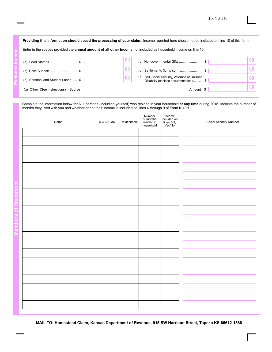| Providing this information should speed the processing of your claim. Income reported here should not be included on line 10 of this form. |    |                                                                                      |                |  |  |
|--------------------------------------------------------------------------------------------------------------------------------------------|----|--------------------------------------------------------------------------------------|----------------|--|--|
| Enter in the spaces provided the <b>annual amount of all other income</b> not included as household income on line 10:                     |    |                                                                                      |                |  |  |
| (a) Food Stamps\$                                                                                                                          | 00 | (b) Nongovernmental Gifts \$                                                         |                |  |  |
| (c) Child Support\$                                                                                                                        | 00 | (d) Settlements (lump sum) \$                                                        | 0 <sub>0</sub> |  |  |
| (e) Personal and Student Loans \$                                                                                                          | 00 | SSI, Social Security, Veterans or Railroad<br>Disability (enclose documentation)  \$ | $\bf{00}$      |  |  |
| (g) Other (See instructions) Source                                                                                                        |    | Amount \$                                                                            |                |  |  |

Complete the information below for ALL persons (including yourself) who resided in your household **at any time** during 2015. Indicate the number of months they lived with you and whether or not their income is included on lines 4 through 9 of Form K-40H.

| Name | Date of Birth | Relationship | Number<br>of months<br>resided in<br>household | Income<br>included on<br>lines 4-9,<br>Yes/No | Social Security Number |
|------|---------------|--------------|------------------------------------------------|-----------------------------------------------|------------------------|
|      |               |              |                                                |                                               |                        |
|      |               |              |                                                |                                               |                        |
|      |               |              |                                                |                                               |                        |
|      |               |              |                                                |                                               |                        |
|      |               |              |                                                |                                               |                        |
|      |               |              |                                                |                                               |                        |
|      |               |              |                                                |                                               |                        |
|      |               |              |                                                |                                               |                        |
|      |               |              |                                                |                                               |                        |
|      |               |              |                                                |                                               |                        |
|      |               |              |                                                |                                               |                        |
|      |               |              |                                                |                                               |                        |
|      |               |              |                                                |                                               |                        |
|      |               |              |                                                |                                               |                        |
|      |               |              |                                                |                                               |                        |
|      |               |              |                                                |                                               |                        |
|      |               |              |                                                |                                               |                        |
|      |               |              |                                                |                                               |                        |
|      |               |              |                                                |                                               |                        |
|      |               |              |                                                |                                               |                        |
|      |               |              |                                                |                                               |                        |

**MAIL TO: Homestead Claim, Kansas Department of Revenue, 915 SW Harrison Street, Topeka KS 66612-1588**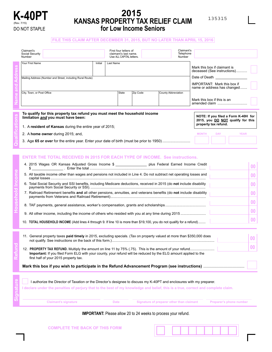

# **K-40PT <sup>2015</sup> KANSAS PROPERTY TAX RELIEF CLAIM**  DO NOT STAPLE **for Low Income Seniors**

## **FILE THIS CLAIM AFTER DECEMBER 31, 2015, BUT NO LATER THAN APRIL 15, 2016**

| Claimant's<br>Social Security<br>Number                                                                                                                                                                                                                                                                                                                                                                                                                                                                                                                                                                                                                                                      |         | First four letters of<br>claimant's last name.<br>Use ALL CAPITAL letters. |          |                     | Claimant's<br>Telephone<br>Number |                                                                                                   |                                    |                                                                                                                   |                                                                                                    |
|----------------------------------------------------------------------------------------------------------------------------------------------------------------------------------------------------------------------------------------------------------------------------------------------------------------------------------------------------------------------------------------------------------------------------------------------------------------------------------------------------------------------------------------------------------------------------------------------------------------------------------------------------------------------------------------------|---------|----------------------------------------------------------------------------|----------|---------------------|-----------------------------------|---------------------------------------------------------------------------------------------------|------------------------------------|-------------------------------------------------------------------------------------------------------------------|----------------------------------------------------------------------------------------------------|
| Your First Name<br>Mailing Address (Number and Street, including Rural Route)<br>City, Town, or Post Office                                                                                                                                                                                                                                                                                                                                                                                                                                                                                                                                                                                  | Initial | Last Name<br>State                                                         | Zip Code | County Abbreviation |                                   | Mark this box if claimant is<br><b>IMPORTANT: Mark this box if</b><br>Mark this box if this is an |                                    | deceased (See instructions)<br>Date of Death <b>Date of Death</b><br>name or address has changed<br>amended claim |                                                                                                    |
| To qualify for this property tax refund you must meet the household income<br>limitation and you must have been:<br>1. A resident of Kansas during the entire year of 2015;<br>2. A home owner during 2015; and,                                                                                                                                                                                                                                                                                                                                                                                                                                                                             |         |                                                                            |          |                     |                                   | <b>MONTH</b>                                                                                      | property tax refund.<br><b>DAY</b> | NOTE: If you filed a Form K-40H for<br>2015, you DO NOT qualify for this<br><b>YEAR</b>                           |                                                                                                    |
| <b>ENTER THE TOTAL RECEIVED IN 2015 FOR EACH TYPE OF INCOME. See instructions.</b><br>4. 2015 Wages OR Kansas Adjusted Gross Income \$ __________________ plus Federal Earned Income Credit<br>5. All taxable income other than wages and pensions not included in Line 4. Do not subtract net operating losses and<br>6. Total Social Security and SSI benefits, including Medicare deductions, received in 2015 (do not include disability<br>7. Railroad Retirement benefits and all other pensions, annuities, and veterans benefits (do not include disability<br>10. TOTAL HOUSEHOLD INCOME (Add lines 4 through 9. If line 10 is more than \$19,100, you do not qualify for a refund) |         |                                                                            |          |                     |                                   |                                                                                                   |                                    |                                                                                                                   | 0 <sub>0</sub><br>00<br>0 <sub>0</sub><br>0 <sub>0</sub><br>0 <sub>0</sub><br>0 <sub>0</sub><br>00 |
| 11. General property taxes paid timely in 2015, excluding specials. (Tax on property valued at more than \$350,000 does<br>Important: If you filed Form ELG with your county, your refund will be reduced by the ELG amount applied to the<br>first half of your 2015 property tax.                                                                                                                                                                                                                                                                                                                                                                                                          |         |                                                                            |          |                     |                                   |                                                                                                   |                                    |                                                                                                                   | 0 <sub>0</sub><br>00 <sup>°</sup>                                                                  |
| I authorize the Director of Taxation or the Director's designee to discuss my K-40PT and enclosures with my preparer.<br>I declare under the penalties of perjury that to the best of my knowledge and belief, this is a true, correct and complete claim.                                                                                                                                                                                                                                                                                                                                                                                                                                   |         |                                                                            |          |                     |                                   |                                                                                                   |                                    |                                                                                                                   |                                                                                                    |

**IMPORTANT:** Please allow 20 to 24 weeks to process your refund.

**Claimant's signature Transform Signature of preparer other than claimant Signature of preparer's phone number** 

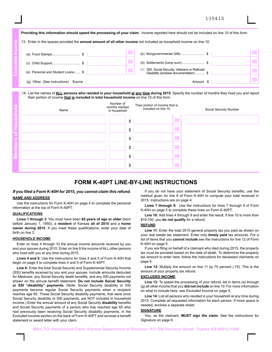135415

|                                                                                                                            | Providing this information should speed the processing of your claim. Income reported here should not be included on line 10 of this form. |                 |
|----------------------------------------------------------------------------------------------------------------------------|--------------------------------------------------------------------------------------------------------------------------------------------|-----------------|
| 13. Enter in the spaces provided the <b>annual amount of all other income</b> not included as household income on line 10: |                                                                                                                                            |                 |
|                                                                                                                            | (b) Nongovernmental Gifts \$                                                                                                               | 00 <sup>1</sup> |
|                                                                                                                            | (d) Settlements (lump sum)\$                                                                                                               |                 |
| (e) Personal and Student Loans \$                                                                                          | SSI, Social Security, Veterans or Railroad<br>Disability (enclose documentation)  \$                                                       |                 |
| Other (See instructions) Source                                                                                            | Amount                                                                                                                                     |                 |

## 14. List the names of **ALL persons who resided in your household at any time during 2015**. Specify the number of months they lived you and report their portion of income **that is included in total household income** on line 10 of this form.

| 13. Enter in the spaces provided the <b>annual amount of all other income</b> not included as household income on line 10:                                                                                                                            |                                |                                                        |                                        |                        |
|-------------------------------------------------------------------------------------------------------------------------------------------------------------------------------------------------------------------------------------------------------|--------------------------------|--------------------------------------------------------|----------------------------------------|------------------------|
|                                                                                                                                                                                                                                                       | $\overline{00}$                | (b) Nongovernmental Gifts \$                           |                                        | 0 <sub>0</sub>         |
|                                                                                                                                                                                                                                                       | 00                             |                                                        |                                        | 0 <sub>0</sub>         |
| (e) Personal and Student Loans \$                                                                                                                                                                                                                     | $\bf{00}$                      | (f) SSI, Social Security, Veterans or Railroad         | Disability (enclose documentation)  \$ | 0 <sub>0</sub>         |
| (g) Other (See instructions) Source                                                                                                                                                                                                                   |                                |                                                        | Amount \$                              | 0 <sub>0</sub>         |
| 14. List the names of <b>ALL</b> persons who resided in your household at any time during 2015. Specify the number of months they lived you and report<br>their portion of income that is included in total household income on line 10 of this form. | Number of                      |                                                        |                                        |                        |
| Name                                                                                                                                                                                                                                                  | months resided<br>in household | Their portion of income that is<br>included on line 10 |                                        | Social Security Number |
|                                                                                                                                                                                                                                                       | \$                             |                                                        | 00                                     |                        |
|                                                                                                                                                                                                                                                       | \$                             |                                                        | 0 <sub>0</sub>                         |                        |
|                                                                                                                                                                                                                                                       | \$                             |                                                        | $\bf{00}$                              |                        |
|                                                                                                                                                                                                                                                       | \$                             |                                                        | 00                                     |                        |
|                                                                                                                                                                                                                                                       | \$                             |                                                        | $\bf{00}$                              |                        |
|                                                                                                                                                                                                                                                       | \$                             |                                                        |                                        |                        |

## **FORM K-40PT LINE-BY-LINE INSTRUCTIONS**

## *If you filed a Form K-40H for 2015, you cannot claim this refund.*  **NAME AND ADDRESS**

Use the instructions for Form K-40H on page 4 to complete the personal information at the top of Form K-40PT.

## **QUALIFICATIONS**

**Lines 1 through 3**: You must have been **65 years of age or older** (born before January 1, 1950), a **resident** of Kansas **all of 2015** and a **home owner during 2015**. If you meet these qualifications, enter your date of birth on line 3.

## **HOUSEHOLD INCOME**

Enter on lines 4 through 10 the annual income amounts received by you and your spouse during 2015. Enter on line 9 the income of ALL other persons who lived with you at any time during 2015.

**Lines 4 and 5:** Use the instructions for lines 4 and 5 of Form K-40H that begin on page 4 to complete lines 4 and 5 of Form K-40PT.

**Line 6:** Enter the total Social Security and Supplemental Security Income (SSI) benefits received by you and your spouse. Include amounts deducted for Medicare, any Social Security death benefits, and any SSI payments not shown on the annual benefit statement. **Do not include Social Security or SSI "disability" payments.** (Note: Social Security disability or SSI payments become regular Social Security payments when a recipient reaches age 65. These Social Security disability payments, that were once Social Security disability or SSI payments, are NOT included in household income.) Enter the annual amount of any Social Security **disability** benefits and Social Security payments of a person who has reached age 65 who had previously been receiving Social Security disability payments, in the Excluded Income section on the back of Form K-40PT and enclose a benefit statement or award letter with your claim.

If you do not have your statement of Social Security benefits, use the method given for line 6 of Form K-40H to compute your total received in 2015. Instructions are on page 4.

 **Lines 7 through 9:** Use the instructions for lines 7 through 9 of Form K-40H on page 5 to complete these lines on Form K-40PT.

 **Line 10:** Add lines 4 through 9 and enter the result. If line 10 is more than \$19,100, you **do not qualify** for a refund.

## **REFUND**

Line 11: Enter the total 2015 general property tax you paid as shown on your real estate tax statement. Enter only **timely paid** tax amounts. For a list of items that you **cannot include** see the instructions for line 12 of Form K-40H on page 5.

If you are filing on behalf of a claimant who died during 2015, the property tax must be prorated based on the date of death. To determine the property tax amount to enter here, follow the instructions for deceased claimants on page 6.

**Line 12:** Multiply the amount on line 11 by 75 percent (.75). This is the amount of your property tax refund.

## **EXCLUDED INCOME**

Line 13: To speed the processing of your refund, list in items (a) through (g) all other income that you **did not include** on line 10. For more information on what to include here, see *Excluded Income* on page 5.

**Line 14:** List all persons who resided in your household at any time during 2015. Complete all requested information for each person. If more space is needed, enclose a separate sheet.

### **SIGNATURE**

You, as the claimant, **MUST sign the claim**. See the instructions for *Signature* on page 6.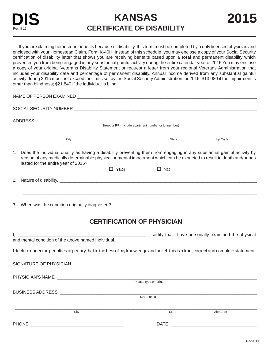**CERTIFICATE OF DISABILITY** 2015

If you are claiming homestead benefits because of disability, this form must be completed by a duly licensed physician and enclosed with your Homestead Claim, Form K-40H. Instead of this schedule, you may enclose a copy of your Social Security certification of disability letter that shows you are receiving benefits based upon a **total** and permanent disability which prevented you from being engaged in any substantial gainful activity during the entire calendar year of 2015 You may enclose a copy of your original Veterans Disability Statement or request a letter from your regional Veterans Administration that includes your disability date and percentage of permanent disability. Annual income derived from any substantial gainful activity during 2015 must not exceed the limits set by the Social Security Administration for 2015: \$13,080 if the impairment is other than blindness; \$21,840 if the individual is blind.

| NAME OF PERSON EXAMINED THE RESERVE AND RELEASED AND RELEASED AND RELEASED AND RELEASED AND RELEASED AND RELEASED AND RELEASED AND RELEASED AND RELEASED AND RELEASED AND RELEASED AND RELEASED AND RELEASED AND RELEASED AND                                                               |
|---------------------------------------------------------------------------------------------------------------------------------------------------------------------------------------------------------------------------------------------------------------------------------------------|
|                                                                                                                                                                                                                                                                                             |
|                                                                                                                                                                                                                                                                                             |
|                                                                                                                                                                                                                                                                                             |
| Zip Code<br>City<br>State                                                                                                                                                                                                                                                                   |
| 1. Does the individual qualify as having a disability preventing them from engaging in any substantial gainful activity by<br>reason of any medically determinable physical or mental impairment which can be expected to result in death and/or has<br>lasted for the entire year of 2015? |
| $\Box$ YES<br>$\square$ NO                                                                                                                                                                                                                                                                  |
|                                                                                                                                                                                                                                                                                             |
|                                                                                                                                                                                                                                                                                             |
|                                                                                                                                                                                                                                                                                             |
| <b>CERTIFICATION OF PHYSICIAN</b>                                                                                                                                                                                                                                                           |
|                                                                                                                                                                                                                                                                                             |
|                                                                                                                                                                                                                                                                                             |
| I declare under the penalties of perjury that to the best of my knowledge and belief, this is a true, correct and complete statement.                                                                                                                                                       |
| SIGNATURE OF PHYSICIAN NATIONAL CONTROL CONTROL CONTROL CONTROL CONTROL CONTROL CONTROL CONTROL CONTROL CONTROL CONTROL CONTROL CONTROL CONTROL CONTROL CONTROL CONTROL CONTROL CONTROL CONTROL CONTROL CONTROL CONTROL CONTRO                                                              |
| PHYSICIAN'S NAME                                                                                                                                                                                                                                                                            |
| Please type or print                                                                                                                                                                                                                                                                        |

BUSINESS ADDRESS \_\_\_\_\_\_\_\_\_\_\_\_\_\_\_\_\_\_\_\_\_\_\_\_\_\_\_\_\_\_\_\_\_\_\_\_\_\_\_\_\_\_\_\_\_\_\_\_\_\_\_\_\_\_\_\_\_\_\_\_\_\_\_\_\_\_\_\_\_\_\_\_\_\_\_\_\_\_\_\_ Street or RR \_\_\_\_\_\_\_\_\_\_\_\_\_\_\_\_\_\_\_\_\_\_\_\_\_\_\_\_\_\_\_\_\_\_\_\_\_\_\_\_\_\_\_\_\_\_\_\_\_\_\_\_\_\_ **City** \_\_\_\_\_\_\_\_\_\_\_\_\_\_\_\_\_\_\_\_\_\_\_\_\_\_\_\_\_\_\_\_\_\_\_\_\_\_\_\_\_\_\_\_ Zip Code PHONE \_\_\_\_\_\_\_\_\_\_\_\_\_\_\_\_\_\_\_\_\_\_\_\_\_\_\_\_\_\_\_\_\_\_\_\_\_\_ DATE \_\_\_\_\_\_\_\_\_\_\_\_\_\_\_\_\_\_\_\_\_\_\_\_\_\_\_\_\_\_\_\_\_\_\_ **State**